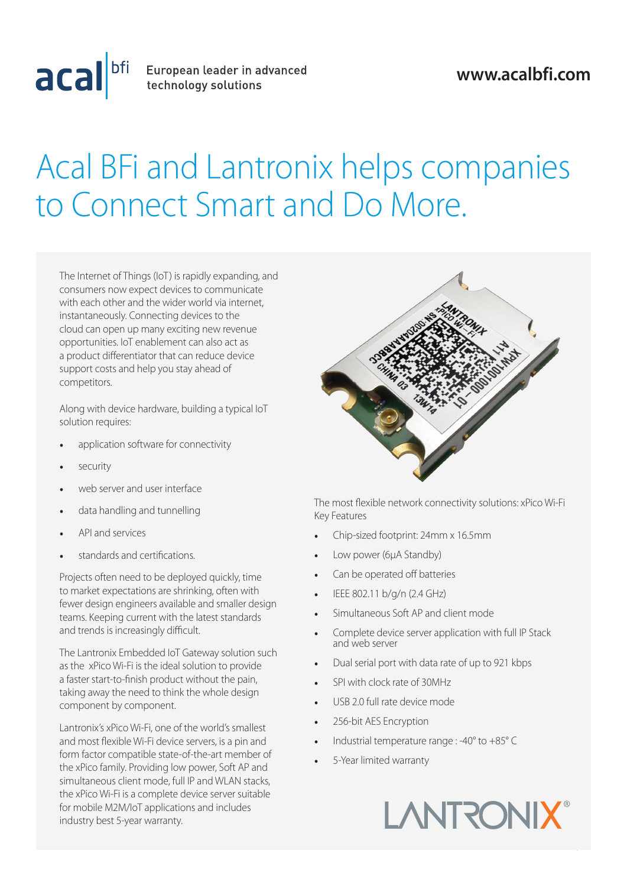

acal bfi European leader in advanced

## **www.acalbfi.com**

## Acal BFi and Lantronix helps companies to Connect Smart and Do More.

The Internet of Things (IoT) is rapidly expanding, and consumers now expect devices to communicate with each other and the wider world via internet, instantaneously. Connecting devices to the cloud can open up many exciting new revenue opportunities. IoT enablement can also act as a product differentiator that can reduce device support costs and help you stay ahead of competitors.

Along with device hardware, building a typical IoT solution requires:

- application software for connectivity
- security
- web server and user interface
- data handling and tunnelling
- API and services
- standards and certifications.

Projects often need to be deployed quickly, time to market expectations are shrinking, often with fewer design engineers available and smaller design teams. Keeping current with the latest standards and trends is increasingly difficult.

The Lantronix Embedded IoT Gateway solution such as the xPico Wi-Fi is the ideal solution to provide a faster start-to-finish product without the pain, taking away the need to think the whole design component by component.

Lantronix's xPico Wi-Fi, one of the world's smallest and most flexible Wi-Fi device servers, is a pin and form factor compatible state-of-the-art member of the xPico family. Providing low power, Soft AP and simultaneous client mode, full IP and WLAN stacks, the xPico Wi-Fi is a complete device server suitable for mobile M2M/IoT applications and includes industry best 5-year warranty.



The most flexible network connectivity solutions: xPico Wi-Fi Key Features

- Chip-sized footprint: 24mm x 16.5mm
- Low power (6μA Standby)
- Can be operated off batteries
- IEEE 802.11 b/g/n (2.4 GHz)
- Simultaneous Soft AP and client mode
- Complete device server application with full IP Stack and web server
- Dual serial port with data rate of up to 921 kbps
- SPI with clock rate of 30MHz
- USB 2.0 full rate device mode
- 256-bit AES Encryption
- Industrial temperature range : -40 $^{\circ}$  to +85 $^{\circ}$  C
- 5-Year limited warranty

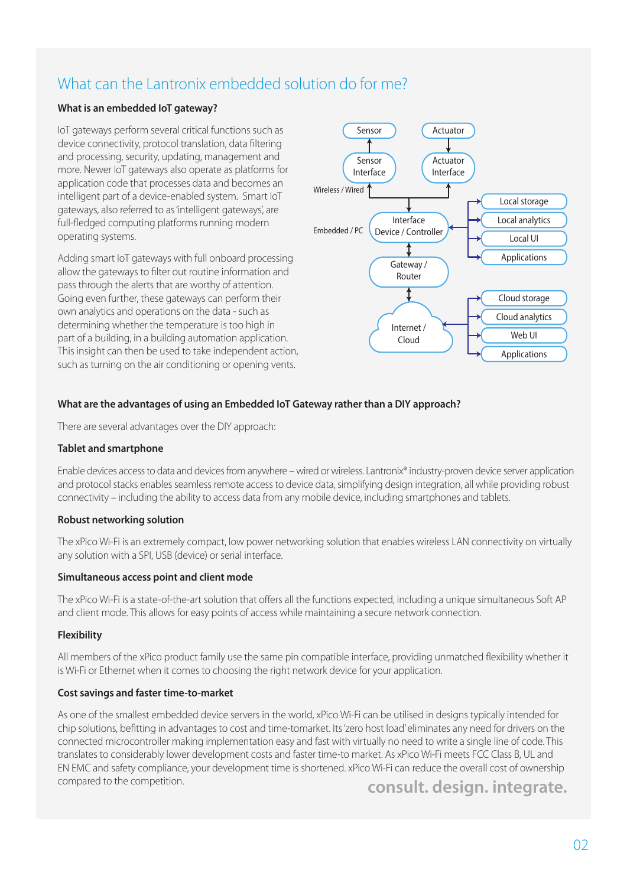## What can the Lantronix embedded solution do for me?

#### **What is an embedded IoT gateway?**

IoT gateways perform several critical functions such as device connectivity, protocol translation, data filtering and processing, security, updating, management and more. Newer IoT gateways also operate as platforms for application code that processes data and becomes an intelligent part of a device-enabled system. Smart IoT gateways, also referred to as 'intelligent gateways', are full-fledged computing platforms running modern operating systems.

Adding smart IoT gateways with full onboard processing allow the gateways to filter out routine information and pass through the alerts that are worthy of attention. Going even further, these gateways can perform their own analytics and operations on the data - such as determining whether the temperature is too high in part of a building, in a building automation application. This insight can then be used to take independent action, such as turning on the air conditioning or opening vents.



#### **What are the advantages of using an Embedded IoT Gateway rather than a DIY approach?**

There are several advantages over the DIY approach:

#### **Tablet and smartphone**

Enable devices access to data and devices from anywhere – wired or wireless. Lantronix® industry-proven device server application and protocol stacks enables seamless remote access to device data, simplifying design integration, all while providing robust connectivity – including the ability to access data from any mobile device, including smartphones and tablets.

#### **Robust networking solution**

The xPico Wi-Fi is an extremely compact, low power networking solution that enables wireless LAN connectivity on virtually any solution with a SPI, USB (device) or serial interface.

#### **Simultaneous access point and client mode**

The xPico Wi-Fi is a state-of-the-art solution that offers all the functions expected, including a unique simultaneous Soft AP and client mode. This allows for easy points of access while maintaining a secure network connection.

#### **Flexibility**

All members of the xPico product family use the same pin compatible interface, providing unmatched flexibility whether it is Wi-Fi or Ethernet when it comes to choosing the right network device for your application.

#### **Cost savings and faster time-to-market**

**consult. design. integrate.** As one of the smallest embedded device servers in the world, xPico Wi-Fi can be utilised in designs typically intended for chip solutions, befitting in advantages to cost and time-tomarket. Its 'zero host load' eliminates any need for drivers on the connected microcontroller making implementation easy and fast with virtually no need to write a single line of code. This translates to considerably lower development costs and faster time-to market. As xPico Wi-Fi meets FCC Class B, UL and EN EMC and safety compliance, your development time is shortened. xPico Wi-Fi can reduce the overall cost of ownership compared to the competition.

02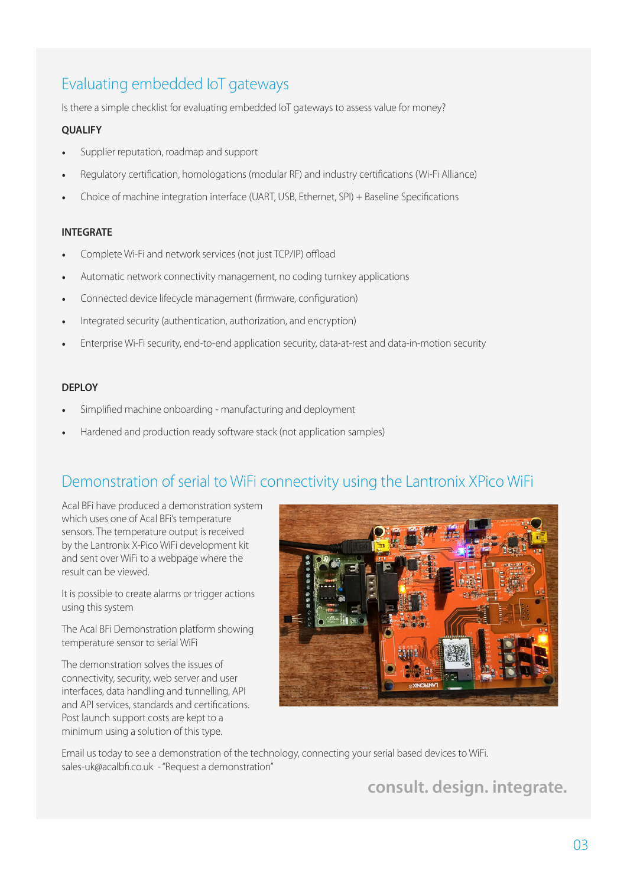## Evaluating embedded IoT gateways

Is there a simple checklist for evaluating embedded IoT gateways to assess value for money?

#### **QUALIFY**

- Supplier reputation, roadmap and support
- Regulatory certification, homologations (modular RF) and industry certifications (Wi-Fi Alliance)
- Choice of machine integration interface (UART, USB, Ethernet, SPI) + Baseline Specifications

#### **INTEGRATE**

- Complete Wi-Fi and network services (not just TCP/IP) offload
- Automatic network connectivity management, no coding turnkey applications
- Connected device lifecycle management (firmware, configuration)
- Integrated security (authentication, authorization, and encryption)
- Enterprise Wi-Fi security, end-to-end application security, data-at-rest and data-in-motion security

#### **DEPLOY**

- Simplified machine onboarding manufacturing and deployment
- Hardened and production ready software stack (not application samples)

### Demonstration of serial to WiFi connectivity using the Lantronix XPico WiFi

Acal BFi have produced a demonstration system which uses one of Acal BFi's temperature sensors. The temperature output is received by the Lantronix X-Pico WiFi development kit and sent over WiFi to a webpage where the result can be viewed.

It is possible to create alarms or trigger actions using this system

The Acal BFi Demonstration platform showing temperature sensor to serial WiFi

The demonstration solves the issues of connectivity, security, web server and user interfaces, data handling and tunnelling, API and API services, standards and certifications. Post launch support costs are kept to a minimum using a solution of this type.



Email us today to see a demonstration of the technology, connecting your serial based devices to WiFi. sales-uk@acalbfi.co.uk - "Request a demonstration"

**consult. design. integrate.**